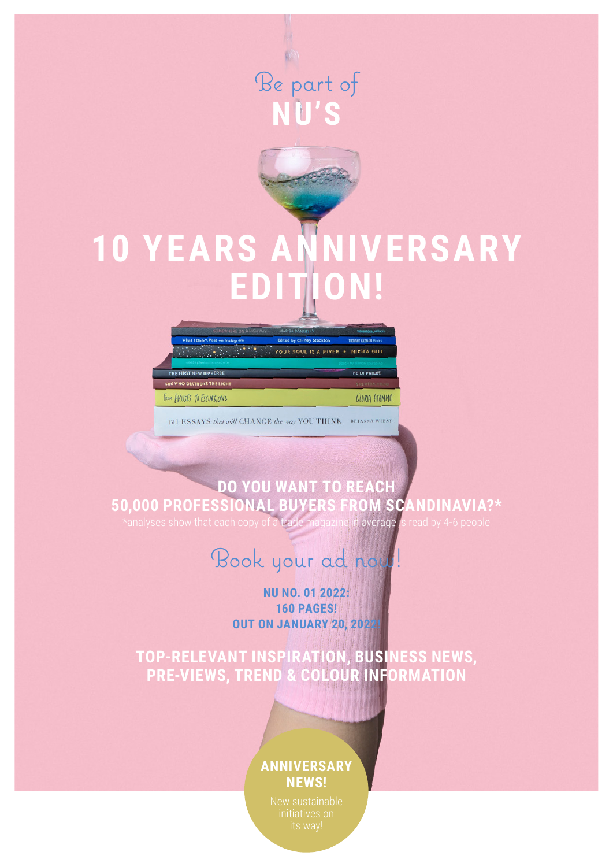

# **10 YEARS ANNIVERSARY EDITION!**



101 ESSAYS that will CHANGE the way YOU THINK BRIANNA WIEST

## **DO YOU WANT TO REACH 50,000 PROFESSIONAL BUYERS FROM SCANDINAVIA?\***

\*analyses show that each copy of a trade magazine in average is read by 4-6 people

# Book your ad now!

#### **NU NO. 01 2022: 160 PAGES! OUT ON JANUARY 20, 2022!**

**TOP-RELEVANT INSPIRATION, BUSINESS NEWS, PRE-VIEWS, TREND & COLOUR INFORMATION** 

### **ANNIVERSARY NEWS!**